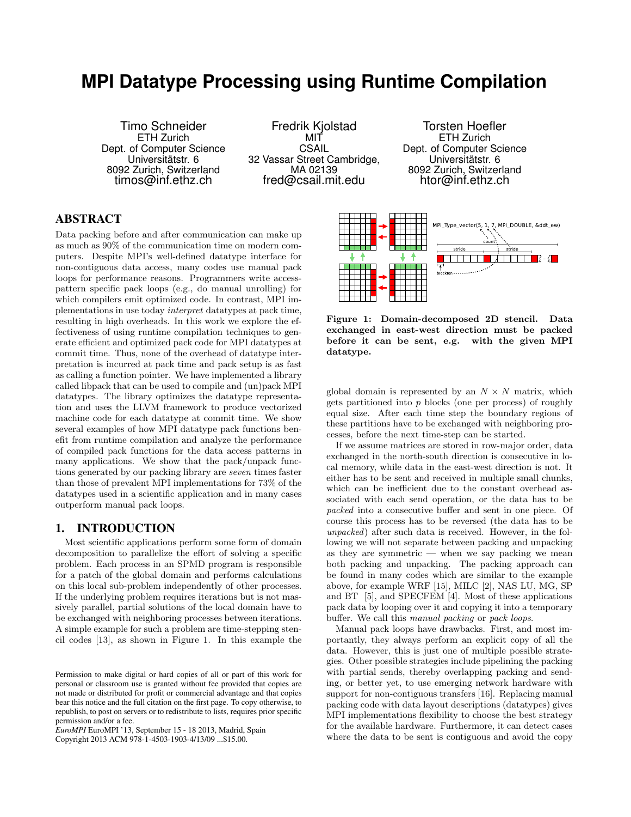# **MPI Datatype Processing using Runtime Compilation**

Timo Schneider ETH Zurich Dept. of Computer Science Universitätstr. 6 8092 Zurich, Switzerland timos@inf.ethz.ch

Fredrik Kjolstad MIT **CSAIL** 32 Vassar Street Cambridge, MA 02139 fred@csail.mit.edu

Torsten Hoefler ETH Zurich Dept. of Computer Science Universitätstr. 6 8092 Zurich, Switzerland htor@inf.ethz.ch

# ABSTRACT

Data packing before and after communication can make up as much as 90% of the communication time on modern computers. Despite MPI's well-defined datatype interface for non-contiguous data access, many codes use manual pack loops for performance reasons. Programmers write accesspattern specific pack loops (e.g., do manual unrolling) for which compilers emit optimized code. In contrast, MPI implementations in use today interpret datatypes at pack time, resulting in high overheads. In this work we explore the effectiveness of using runtime compilation techniques to generate efficient and optimized pack code for MPI datatypes at commit time. Thus, none of the overhead of datatype interpretation is incurred at pack time and pack setup is as fast as calling a function pointer. We have implemented a library called libpack that can be used to compile and (un)pack MPI datatypes. The library optimizes the datatype representation and uses the LLVM framework to produce vectorized machine code for each datatype at commit time. We show several examples of how MPI datatype pack functions benefit from runtime compilation and analyze the performance of compiled pack functions for the data access patterns in many applications. We show that the pack/unpack functions generated by our packing library are seven times faster than those of prevalent MPI implementations for 73% of the datatypes used in a scientific application and in many cases outperform manual pack loops.

# 1. INTRODUCTION

Most scientific applications perform some form of domain decomposition to parallelize the effort of solving a specific problem. Each process in an SPMD program is responsible for a patch of the global domain and performs calculations on this local sub-problem independently of other processes. If the underlying problem requires iterations but is not massively parallel, partial solutions of the local domain have to be exchanged with neighboring processes between iterations. A simple example for such a problem are time-stepping stencil codes [\[13\]](#page-5-0), as shown in Figure [1.](#page-0-0) In this example the

*EuroMPI* EuroMPI '13, September 15 - 18 2013, Madrid, Spain Copyright 2013 ACM 978-1-4503-1903-4/13/09 ...\$15.00.

MPI Type vector(5, 1, 7, MPI DOUBLE, &ddt ew) **.** . . . . . . . ▌▌▌▌▌▌▌▌▌▛░▛ 

<span id="page-0-0"></span>Figure 1: Domain-decomposed 2D stencil. Data exchanged in east-west direction must be packed before it can be sent, e.g. with the given MPI datatype.

global domain is represented by an  $N \times N$  matrix, which gets partitioned into p blocks (one per process) of roughly equal size. After each time step the boundary regions of these partitions have to be exchanged with neighboring processes, before the next time-step can be started.

If we assume matrices are stored in row-major order, data exchanged in the north-south direction is consecutive in local memory, while data in the east-west direction is not. It either has to be sent and received in multiple small chunks, which can be inefficient due to the constant overhead associated with each send operation, or the data has to be packed into a consecutive buffer and sent in one piece. Of course this process has to be reversed (the data has to be unpacked) after such data is received. However, in the following we will not separate between packing and unpacking as they are symmetric — when we say packing we mean both packing and unpacking. The packing approach can be found in many codes which are similar to the example above, for example WRF [\[15\]](#page-5-1), MILC [\[2\]](#page-5-2), NAS LU, MG, SP and BT [\[5\]](#page-5-3), and SPECFEM [\[4\]](#page-5-4). Most of these applications pack data by looping over it and copying it into a temporary buffer. We call this manual packing or pack loops.

Manual pack loops have drawbacks. First, and most importantly, they always perform an explicit copy of all the data. However, this is just one of multiple possible strategies. Other possible strategies include pipelining the packing with partial sends, thereby overlapping packing and sending, or better yet, to use emerging network hardware with support for non-contiguous transfers [\[16\]](#page-5-5). Replacing manual packing code with data layout descriptions (datatypes) gives MPI implementations flexibility to choose the best strategy for the available hardware. Furthermore, it can detect cases where the data to be sent is contiguous and avoid the copy

Permission to make digital or hard copies of all or part of this work for personal or classroom use is granted without fee provided that copies are not made or distributed for profit or commercial advantage and that copies bear this notice and the full citation on the first page. To copy otherwise, to republish, to post on servers or to redistribute to lists, requires prior specific permission and/or a fee.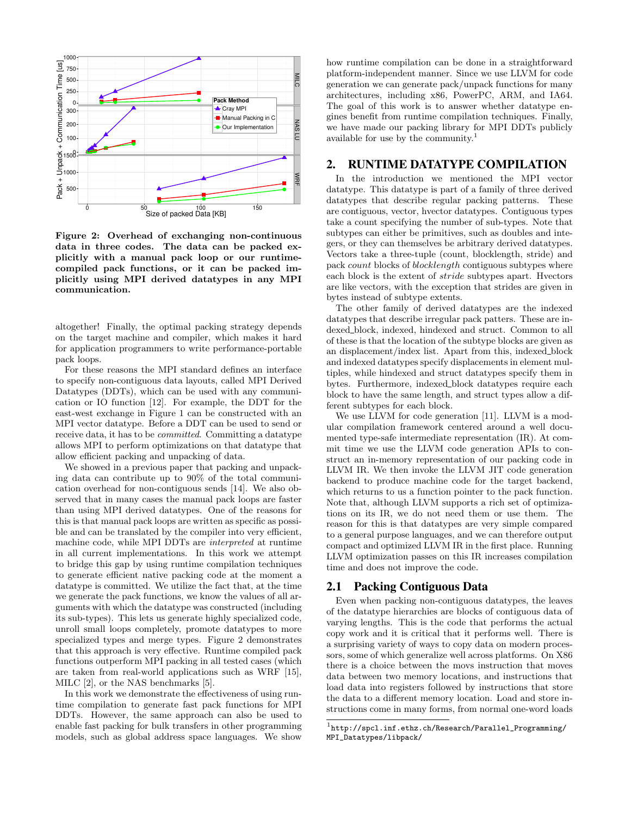

<span id="page-1-0"></span>Figure 2: Overhead of exchanging non-continuous data in three codes. The data can be packed explicitly with a manual pack loop or our runtimecompiled pack functions, or it can be packed implicitly using MPI derived datatypes in any MPI communication.

altogether! Finally, the optimal packing strategy depends on the target machine and compiler, which makes it hard for application programmers to write performance-portable pack loops.

For these reasons the MPI standard defines an interface to specify non-contiguous data layouts, called MPI Derived Datatypes (DDTs), which can be used with any communication or IO function [\[12\]](#page-5-6). For example, the DDT for the east-west exchange in Figure [1](#page-0-0) can be constructed with an MPI vector datatype. Before a DDT can be used to send or receive data, it has to be *committed*. Committing a datatype allows MPI to perform optimizations on that datatype that allow efficient packing and unpacking of data.

We showed in a previous paper that packing and unpacking data can contribute up to 90% of the total communication overhead for non-contiguous sends [\[14\]](#page-5-7). We also observed that in many cases the manual pack loops are faster than using MPI derived datatypes. One of the reasons for this is that manual pack loops are written as specific as possible and can be translated by the compiler into very efficient, machine code, while MPI DDTs are interpreted at runtime in all current implementations. In this work we attempt to bridge this gap by using runtime compilation techniques to generate efficient native packing code at the moment a datatype is committed. We utilize the fact that, at the time we generate the pack functions, we know the values of all arguments with which the datatype was constructed (including its sub-types). This lets us generate highly specialized code, unroll small loops completely, promote datatypes to more specialized types and merge types. Figure [2](#page-1-0) demonstrates that this approach is very effective. Runtime compiled pack functions outperform MPI packing in all tested cases (which are taken from real-world applications such as WRF [\[15\]](#page-5-1), MILC [\[2\]](#page-5-2), or the NAS benchmarks [\[5\]](#page-5-3).

In this work we demonstrate the effectiveness of using runtime compilation to generate fast pack functions for MPI DDTs. However, the same approach can also be used to enable fast packing for bulk transfers in other programming models, such as global address space languages. We show

how runtime compilation can be done in a straightforward platform-independent manner. Since we use LLVM for code generation we can generate pack/unpack functions for many architectures, including x86, PowerPC, ARM, and IA64. The goal of this work is to answer whether datatype engines benefit from runtime compilation techniques. Finally, we have made our packing library for MPI DDTs publicly available for use by the community.<sup>[1](#page-1-1)</sup>

# 2. RUNTIME DATATYPE COMPILATION

In the introduction we mentioned the MPI vector datatype. This datatype is part of a family of three derived datatypes that describe regular packing patterns. These are contiguous, vector, hvector datatypes. Contiguous types take a count specifying the number of sub-types. Note that subtypes can either be primitives, such as doubles and integers, or they can themselves be arbitrary derived datatypes. Vectors take a three-tuple (count, blocklength, stride) and pack count blocks of blocklength contiguous subtypes where each block is the extent of stride subtypes apart. Hvectors are like vectors, with the exception that strides are given in bytes instead of subtype extents.

The other family of derived datatypes are the indexed datatypes that describe irregular pack patters. These are indexed block, indexed, hindexed and struct. Common to all of these is that the location of the subtype blocks are given as an displacement/index list. Apart from this, indexed block and indexed datatypes specify displacements in element multiples, while hindexed and struct datatypes specify them in bytes. Furthermore, indexed block datatypes require each block to have the same length, and struct types allow a different subtypes for each block.

We use LLVM for code generation [\[11\]](#page-5-8). LLVM is a modular compilation framework centered around a well documented type-safe intermediate representation (IR). At commit time we use the LLVM code generation APIs to construct an in-memory representation of our packing code in LLVM IR. We then invoke the LLVM JIT code generation backend to produce machine code for the target backend, which returns to us a function pointer to the pack function. Note that, although LLVM supports a rich set of optimizations on its IR, we do not need them or use them. The reason for this is that datatypes are very simple compared to a general purpose languages, and we can therefore output compact and optimized LLVM IR in the first place. Running LLVM optimization passes on this IR increases compilation time and does not improve the code.

# 2.1 Packing Contiguous Data

Even when packing non-contiguous datatypes, the leaves of the datatype hierarchies are blocks of contiguous data of varying lengths. This is the code that performs the actual copy work and it is critical that it performs well. There is a surprising variety of ways to copy data on modern processors, some of which generalize well across platforms. On X86 there is a choice between the movs instruction that moves data between two memory locations, and instructions that load data into registers followed by instructions that store the data to a different memory location. Load and store instructions come in many forms, from normal one-word loads

<span id="page-1-1"></span> $^{\rm 1}$ [http://spcl.inf.ethz.ch/Research/Parallel\\_Programming/](http://spcl.inf.ethz.ch/Research/Parallel_Programming/MPI_Datatypes/libpack/) [MPI\\_Datatypes/libpack/](http://spcl.inf.ethz.ch/Research/Parallel_Programming/MPI_Datatypes/libpack/)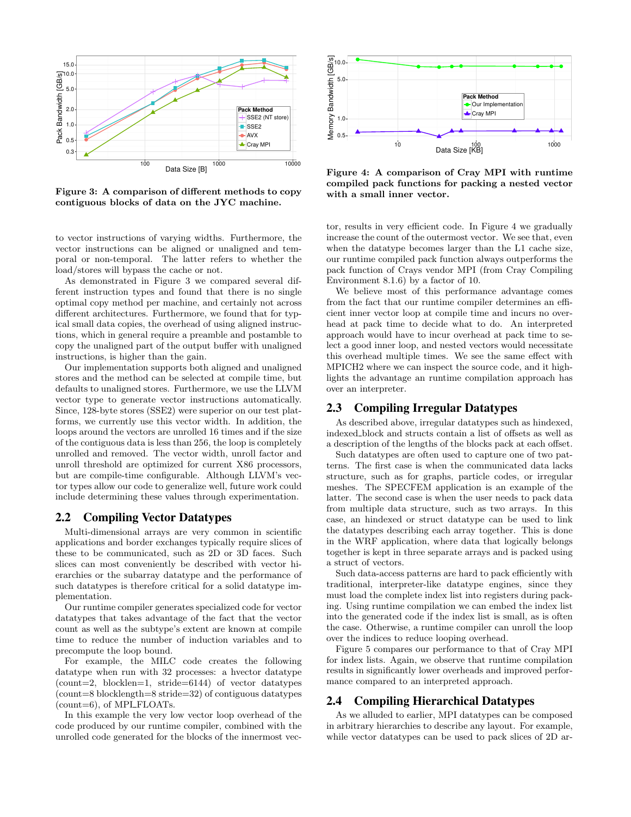

<span id="page-2-0"></span>Figure 3: A comparison of different methods to copy contiguous blocks of data on the JYC machine.

to vector instructions of varying widths. Furthermore, the vector instructions can be aligned or unaligned and temporal or non-temporal. The latter refers to whether the load/stores will bypass the cache or not.

As demonstrated in Figure [3](#page-2-0) we compared several different instruction types and found that there is no single optimal copy method per machine, and certainly not across different architectures. Furthermore, we found that for typical small data copies, the overhead of using aligned instructions, which in general require a preamble and postamble to copy the unaligned part of the output buffer with unaligned instructions, is higher than the gain.

Our implementation supports both aligned and unaligned stores and the method can be selected at compile time, but defaults to unaligned stores. Furthermore, we use the LLVM vector type to generate vector instructions automatically. Since, 128-byte stores (SSE2) were superior on our test platforms, we currently use this vector width. In addition, the loops around the vectors are unrolled 16 times and if the size of the contiguous data is less than 256, the loop is completely unrolled and removed. The vector width, unroll factor and unroll threshold are optimized for current X86 processors, but are compile-time configurable. Although LLVM's vector types allow our code to generalize well, future work could include determining these values through experimentation.

### 2.2 Compiling Vector Datatypes

Multi-dimensional arrays are very common in scientific applications and border exchanges typically require slices of these to be communicated, such as 2D or 3D faces. Such slices can most conveniently be described with vector hierarchies or the subarray datatype and the performance of such datatypes is therefore critical for a solid datatype implementation.

Our runtime compiler generates specialized code for vector datatypes that takes advantage of the fact that the vector count as well as the subtype's extent are known at compile time to reduce the number of induction variables and to precompute the loop bound.

For example, the MILC code creates the following datatype when run with 32 processes: a hvector datatype (count=2, blocklen=1, stride=6144) of vector datatypes (count=8 blocklength=8 stride=32) of contiguous datatypes  $(count=6)$ , of MPLFLOATs.

In this example the very low vector loop overhead of the code produced by our runtime compiler, combined with the unrolled code generated for the blocks of the innermost vec-



<span id="page-2-1"></span>Figure 4: A comparison of Cray MPI with runtime compiled pack functions for packing a nested vector with a small inner vector.

tor, results in very efficient code. In Figure [4](#page-2-1) we gradually increase the count of the outermost vector. We see that, even when the datatype becomes larger than the L1 cache size, our runtime compiled pack function always outperforms the pack function of Crays vendor MPI (from Cray Compiling Environment 8.1.6) by a factor of 10.

We believe most of this performance advantage comes from the fact that our runtime compiler determines an efficient inner vector loop at compile time and incurs no overhead at pack time to decide what to do. An interpreted approach would have to incur overhead at pack time to select a good inner loop, and nested vectors would necessitate this overhead multiple times. We see the same effect with MPICH2 where we can inspect the source code, and it highlights the advantage an runtime compilation approach has over an interpreter.

# 2.3 Compiling Irregular Datatypes

As described above, irregular datatypes such as hindexed, indexed block and structs contain a list of offsets as well as a description of the lengths of the blocks pack at each offset.

Such datatypes are often used to capture one of two patterns. The first case is when the communicated data lacks structure, such as for graphs, particle codes, or irregular meshes. The SPECFEM application is an example of the latter. The second case is when the user needs to pack data from multiple data structure, such as two arrays. In this case, an hindexed or struct datatype can be used to link the datatypes describing each array together. This is done in the WRF application, where data that logically belongs together is kept in three separate arrays and is packed using a struct of vectors.

Such data-access patterns are hard to pack efficiently with traditional, interpreter-like datatype engines, since they must load the complete index list into registers during packing. Using runtime compilation we can embed the index list into the generated code if the index list is small, as is often the case. Otherwise, a runtime compiler can unroll the loop over the indices to reduce looping overhead.

Figure [5](#page-3-0) compares our performance to that of Cray MPI for index lists. Again, we observe that runtime compilation results in significantly lower overheads and improved performance compared to an interpreted approach.

# 2.4 Compiling Hierarchical Datatypes

As we alluded to earlier, MPI datatypes can be composed in arbitrary hierarchies to describe any layout. For example, while vector datatypes can be used to pack slices of 2D ar-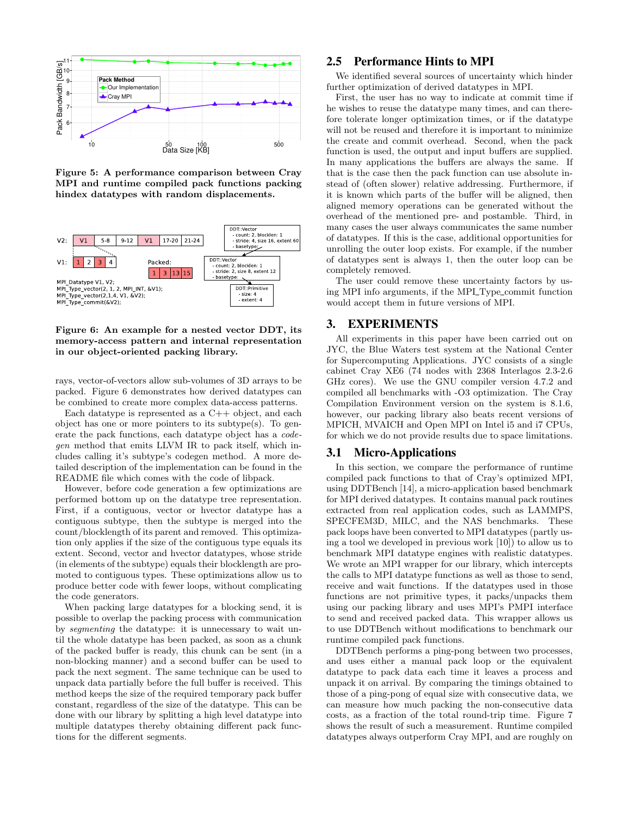

<span id="page-3-0"></span>Figure 5: A performance comparison between Cray MPI and runtime compiled pack functions packing hindex datatypes with random displacements.



<span id="page-3-1"></span>Figure 6: An example for a nested vector DDT, its memory-access pattern and internal representation in our object-oriented packing library.

rays, vector-of-vectors allow sub-volumes of 3D arrays to be packed. Figure [6](#page-3-1) demonstrates how derived datatypes can be combined to create more complex data-access patterns.

Each datatype is represented as a C++ object, and each object has one or more pointers to its subtype(s). To generate the pack functions, each datatype object has a codegen method that emits LLVM IR to pack itself, which includes calling it's subtype's codegen method. A more detailed description of the implementation can be found in the README file which comes with the code of libpack.

However, before code generation a few optimizations are performed bottom up on the datatype tree representation. First, if a contiguous, vector or hvector datatype has a contiguous subtype, then the subtype is merged into the count/blocklength of its parent and removed. This optimization only applies if the size of the contiguous type equals its extent. Second, vector and hvector datatypes, whose stride (in elements of the subtype) equals their blocklength are promoted to contiguous types. These optimizations allow us to produce better code with fewer loops, without complicating the code generators.

When packing large datatypes for a blocking send, it is possible to overlap the packing process with communication by segmenting the datatype: it is unnecessary to wait until the whole datatype has been packed, as soon as a chunk of the packed buffer is ready, this chunk can be sent (in a non-blocking manner) and a second buffer can be used to pack the next segment. The same technique can be used to unpack data partially before the full buffer is received. This method keeps the size of the required temporary pack buffer constant, regardless of the size of the datatype. This can be done with our library by splitting a high level datatype into multiple datatypes thereby obtaining different pack functions for the different segments.

# <span id="page-3-2"></span>2.5 Performance Hints to MPI

We identified several sources of uncertainty which hinder further optimization of derived datatypes in MPI.

First, the user has no way to indicate at commit time if he wishes to reuse the datatype many times, and can therefore tolerate longer optimization times, or if the datatype will not be reused and therefore it is important to minimize the create and commit overhead. Second, when the pack function is used, the output and input buffers are supplied. In many applications the buffers are always the same. If that is the case then the pack function can use absolute instead of (often slower) relative addressing. Furthermore, if it is known which parts of the buffer will be aligned, then aligned memory operations can be generated without the overhead of the mentioned pre- and postamble. Third, in many cases the user always communicates the same number of datatypes. If this is the case, additional opportunities for unrolling the outer loop exists. For example, if the number of datatypes sent is always 1, then the outer loop can be completely removed.

The user could remove these uncertainty factors by using MPI info arguments, if the MPI\_Type\_commit function would accept them in future versions of MPI.

# 3. EXPERIMENTS

All experiments in this paper have been carried out on JYC, the Blue Waters test system at the National Center for Supercomputing Applications. JYC consists of a single cabinet Cray XE6 (74 nodes with 2368 Interlagos 2.3-2.6 GHz cores). We use the GNU compiler version 4.7.2 and compiled all benchmarks with -O3 optimization. The Cray Compilation Environment version on the system is 8.1.6, however, our packing library also beats recent versions of MPICH, MVAICH and Open MPI on Intel i5 and i7 CPUs, for which we do not provide results due to space limitations.

#### 3.1 Micro-Applications

In this section, we compare the performance of runtime compiled pack functions to that of Cray's optimized MPI, using DDTBench [\[14\]](#page-5-7), a micro-application based benchmark for MPI derived datatypes. It contains manual pack routines extracted from real application codes, such as LAMMPS, SPECFEM3D, MILC, and the NAS benchmarks. These pack loops have been converted to MPI datatypes (partly using a tool we developed in previous work [\[10\]](#page-5-9)) to allow us to benchmark MPI datatype engines with realistic datatypes. We wrote an MPI wrapper for our library, which intercepts the calls to MPI datatype functions as well as those to send, receive and wait functions. If the datatypes used in those functions are not primitive types, it packs/unpacks them using our packing library and uses MPI's PMPI interface to send and received packed data. This wrapper allows us to use DDTBench without modifications to benchmark our runtime compiled pack functions.

DDTBench performs a ping-pong between two processes, and uses either a manual pack loop or the equivalent datatype to pack data each time it leaves a process and unpack it on arrival. By comparing the timings obtained to those of a ping-pong of equal size with consecutive data, we can measure how much packing the non-consecutive data costs, as a fraction of the total round-trip time. Figure [7](#page-4-0) shows the result of such a measurement. Runtime compiled datatypes always outperform Cray MPI, and are roughly on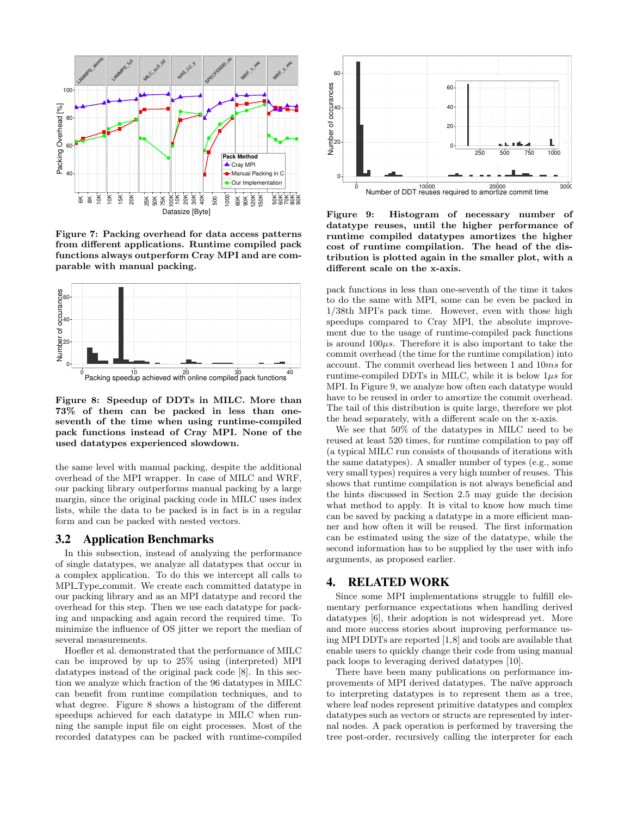

<span id="page-4-0"></span>Figure 7: Packing overhead for data access patterns from different applications. Runtime compiled pack functions always outperform Cray MPI and are comparable with manual packing.



<span id="page-4-1"></span>Figure 8: Speedup of DDTs in MILC. More than 73% of them can be packed in less than oneseventh of the time when using runtime-compiled pack functions instead of Cray MPI. None of the used datatypes experienced slowdown.

the same level with manual packing, despite the additional overhead of the MPI wrapper. In case of MILC and WRF, our packing library outperforms manual packing by a large margin, since the original packing code in MILC uses index lists, while the data to be packed is in fact is in a regular form and can be packed with nested vectors.

# 3.2 Application Benchmarks

In this subsection, instead of analyzing the performance of single datatypes, we analyze all datatypes that occur in a complex application. To do this we intercept all calls to MPL Type\_commit. We create each committed datatype in our packing library and as an MPI datatype and record the overhead for this step. Then we use each datatype for packing and unpacking and again record the required time. To minimize the influence of OS jitter we report the median of several measurements.

Hoefler et al. demonstrated that the performance of MILC can be improved by up to 25% using (interpreted) MPI datatypes instead of the original pack code [\[8\]](#page-5-10). In this section we analyze which fraction of the 96 datatypes in MILC can benefit from runtime compilation techniques, and to what degree. Figure [8](#page-4-1) shows a histogram of the different speedups achieved for each datatype in MILC when running the sample input file on eight processes. Most of the



<span id="page-4-2"></span>Figure 9: Histogram of necessary number of datatype reuses, until the higher performance of runtime compiled datatypes amortizes the higher cost of runtime compilation. The head of the distribution is plotted again in the smaller plot, with a different scale on the x-axis.

pack functions in less than one-seventh of the time it takes to do the same with MPI, some can be even be packed in 1/38th MPI's pack time. However, even with those high speedups compared to Cray MPI, the absolute improvement due to the usage of runtime-compiled pack functions is around 100µs. Therefore it is also important to take the commit overhead (the time for the runtime compilation) into account. The commit overhead lies between 1 and 10ms for runtime-compiled DDTs in MILC, while it is below  $1\mu s$  for MPI. In Figure [9,](#page-4-2) we analyze how often each datatype would have to be reused in order to amortize the commit overhead. The tail of this distribution is quite large, therefore we plot the head separately, with a different scale on the x-axis.

We see that 50% of the datatypes in MILC need to be reused at least 520 times, for runtime compilation to pay off (a typical MILC run consists of thousands of iterations with the same datatypes). A smaller number of types (e.g., some very small types) requires a very high number of reuses. This shows that runtime compilation is not always beneficial and the hints discussed in Section [2.5](#page-3-2) may guide the decision what method to apply. It is vital to know how much time can be saved by packing a datatype in a more efficient manner and how often it will be reused. The first information can be estimated using the size of the datatype, while the second information has to be supplied by the user with info arguments, as proposed earlier.

#### 4. RELATED WORK

Since some MPI implementations struggle to fulfill elementary performance expectations when handling derived datatypes [\[6\]](#page-5-11), their adoption is not widespread yet. More and more success stories about improving performance using MPI DDTs are reported [\[1](#page-5-12)[,8\]](#page-5-10) and tools are available that enable users to quickly change their code from using manual pack loops to leveraging derived datatypes [\[10\]](#page-5-9).

There have been many publications on performance improvements of MPI derived datatypes. The naïve approach to interpreting datatypes is to represent them as a tree, where leaf nodes represent primitive datatypes and complex datatypes such as vectors or structs are represented by internal nodes. A pack operation is performed by traversing the tree post-order, recursively calling the interpreter for each